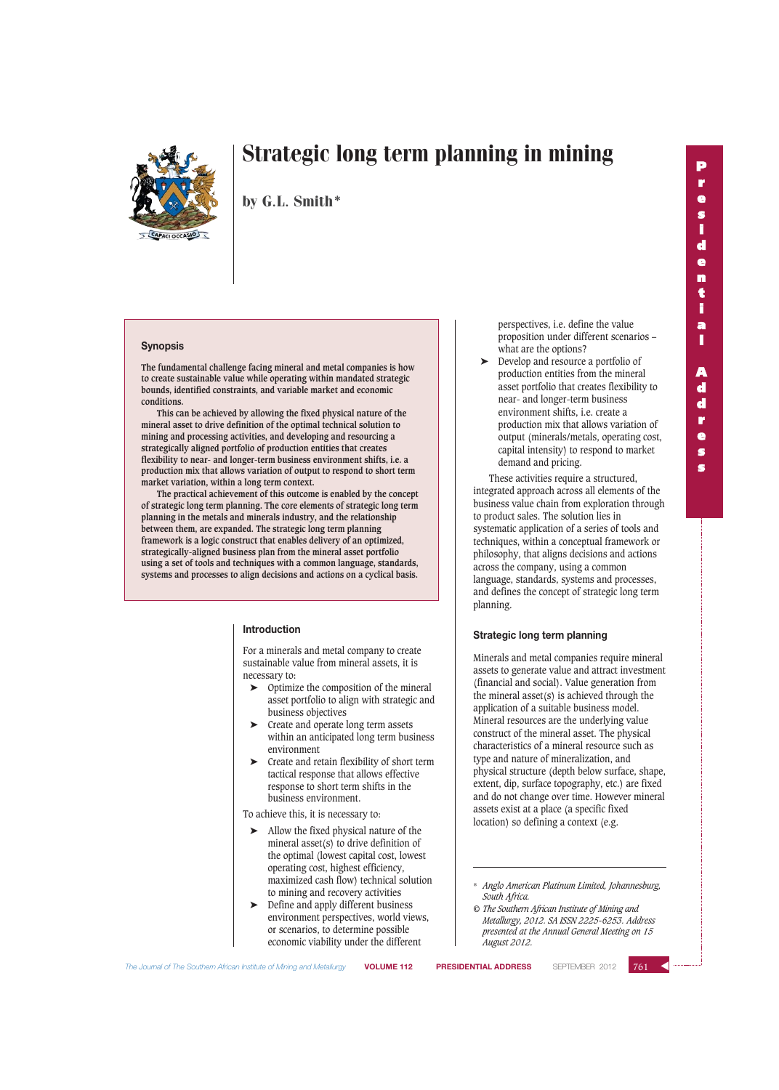

by G.L. Smith\*

#### **Synopsis**

**The fundamental challenge facing mineral and metal companies is how to create sustainable value while operating within mandated strategic bounds, identified constraints, and variable market and economic conditions.**

**This can be achieved by allowing the fixed physical nature of the mineral asset to drive definition of the optimal technical solution to mining and processing activities, and developing and resourcing a strategically aligned portfolio of production entities that creates flexibility to near- and longer-term business environment shifts, i.e. a production mix that allows variation of output to respond to short term market variation, within a long term context.**

**The practical achievement of this outcome is enabled by the concept of strategic long term planning. The core elements of strategic long term planning in the metals and minerals industry, and the relationship between them, are expanded. The strategic long term planning framework is a logic construct that enables delivery of an optimized, strategically-aligned business plan from the mineral asset portfolio using a set of tools and techniques with a common language, standards, systems and processes to align decisions and actions on a cyclical basis.**

#### **Introduction**

For a minerals and metal company to create sustainable value from mineral assets, it is necessary to:

- $\triangleright$  Optimize the composition of the mineral asset portfolio to align with strategic and business objectives
- ➤ Create and operate long term assets within an anticipated long term business environment
- ➤ Create and retain flexibility of short term tactical response that allows effective response to short term shifts in the business environment.

To achieve this, it is necessary to:

- ➤ Allow the fixed physical nature of the mineral asset(s) to drive definition of the optimal (lowest capital cost, lowest operating cost, highest efficiency, maximized cash flow) technical solution to mining and recovery activities
- Define and apply different business environment perspectives, world views, or scenarios, to determine possible economic viability under the different

perspectives, i.e. define the value proposition under different scenarios – what are the options?

➤ Develop and resource a portfolio of production entities from the mineral asset portfolio that creates flexibility to near- and longer-term business environment shifts, i.e. create a production mix that allows variation of output (minerals/metals, operating cost, capital intensity) to respond to market demand and pricing.

These activities require a structured, integrated approach across all elements of the business value chain from exploration through to product sales. The solution lies in systematic application of a series of tools and techniques, within a conceptual framework or philosophy, that aligns decisions and actions across the company, using a common language, standards, systems and processes, and defines the concept of strategic long term planning.

#### **Strategic long term planning**

Minerals and metal companies require mineral assets to generate value and attract investment (financial and social). Value generation from the mineral asset(s) is achieved through the application of a suitable business model. Mineral resources are the underlying value construct of the mineral asset. The physical characteristics of a mineral resource such as type and nature of mineralization, and physical structure (depth below surface, shape, extent, dip, surface topography, etc.) are fixed and do not change over time. However mineral assets exist at a place (a specific fixed location) so defining a context (e.g.

*© The Southern African Institute of Mining and Metallurgy, 2012. SA ISSN 2225-6253. Address presented at the Annual General Meeting on 15 August 2012.*

*The Journal of The Southern African Institute of Mining and Metallurgy* **VOLUME 112 PRESIDENTIAL ADDRESS** SEPTEMBER 2012 ▲



<sup>\*</sup> *Anglo American Platinum Limited, Johannesburg, South Africa.*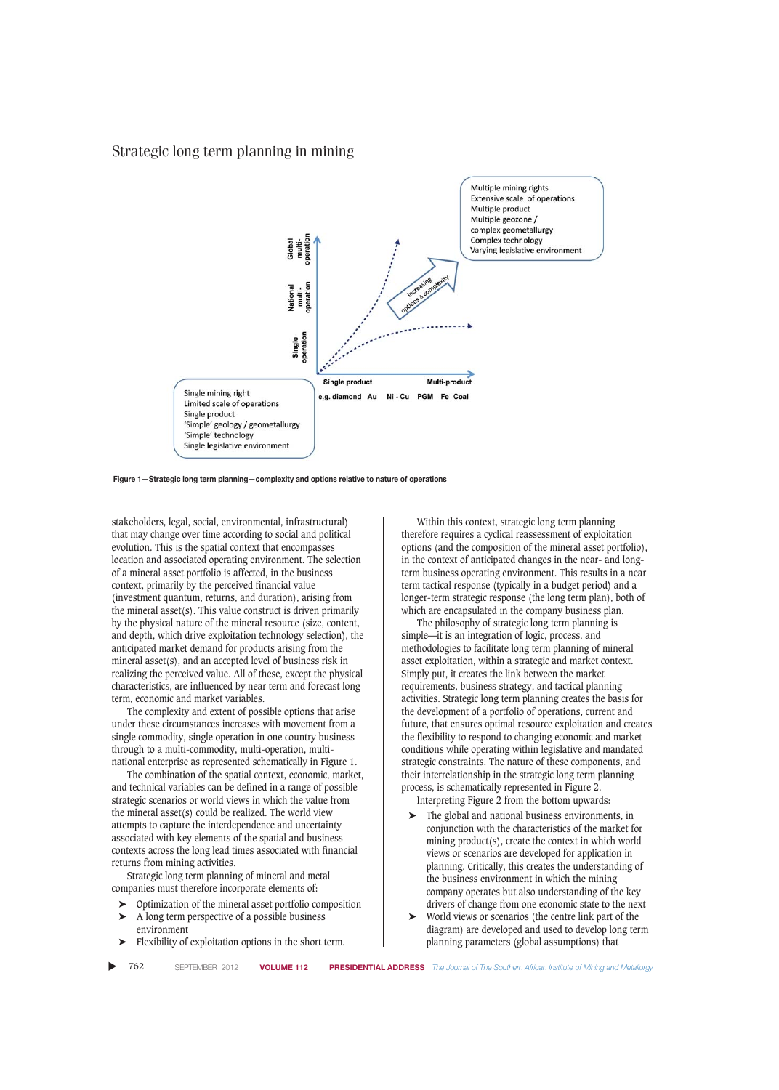

**Figure 1—Strategic long term planning—complexity and options relative to nature of operations** 

stakeholders, legal, social, environmental, infrastructural) that may change over time according to social and political evolution. This is the spatial context that encompasses location and associated operating environment. The selection of a mineral asset portfolio is affected, in the business context, primarily by the perceived financial value (investment quantum, returns, and duration), arising from the mineral asset(s). This value construct is driven primarily by the physical nature of the mineral resource (size, content, and depth, which drive exploitation technology selection), the anticipated market demand for products arising from the mineral asset(s), and an accepted level of business risk in realizing the perceived value. All of these, except the physical characteristics, are influenced by near term and forecast long term, economic and market variables.

The complexity and extent of possible options that arise under these circumstances increases with movement from a single commodity, single operation in one country business through to a multi-commodity, multi-operation, multinational enterprise as represented schematically in Figure 1.

The combination of the spatial context, economic, market, and technical variables can be defined in a range of possible strategic scenarios or world views in which the value from the mineral asset(s) could be realized. The world view attempts to capture the interdependence and uncertainty associated with key elements of the spatial and business contexts across the long lead times associated with financial returns from mining activities.

Strategic long term planning of mineral and metal companies must therefore incorporate elements of:

- ➤ Optimization of the mineral asset portfolio composition
- ➤ A long term perspective of a possible business environment
- Flexibility of exploitation options in the short term.

Within this context, strategic long term planning therefore requires a cyclical reassessment of exploitation options (and the composition of the mineral asset portfolio), in the context of anticipated changes in the near- and longterm business operating environment. This results in a near term tactical response (typically in a budget period) and a longer-term strategic response (the long term plan), both of which are encapsulated in the company business plan.

The philosophy of strategic long term planning is simple—it is an integration of logic, process, and methodologies to facilitate long term planning of mineral asset exploitation, within a strategic and market context. Simply put, it creates the link between the market requirements, business strategy, and tactical planning activities. Strategic long term planning creates the basis for the development of a portfolio of operations, current and future, that ensures optimal resource exploitation and creates the flexibility to respond to changing economic and market conditions while operating within legislative and mandated strategic constraints. The nature of these components, and their interrelationship in the strategic long term planning process, is schematically represented in Figure 2. Interpreting Figure 2 from the bottom upwards:

- ➤ The global and national business environments, in conjunction with the characteristics of the market for mining product(s), create the context in which world views or scenarios are developed for application in planning. Critically, this creates the understanding of the business environment in which the mining company operates but also understanding of the key drivers of change from one economic state to the next
- ➤ World views or scenarios (the centre link part of the diagram) are developed and used to develop long term planning parameters (global assumptions) that

▲ 762 SEPTEMBER 2012 **VOLUME 112 PRESIDENTIAL ADDRESS** *The Journal of The Southern African Institute of Mining and Metallurgy*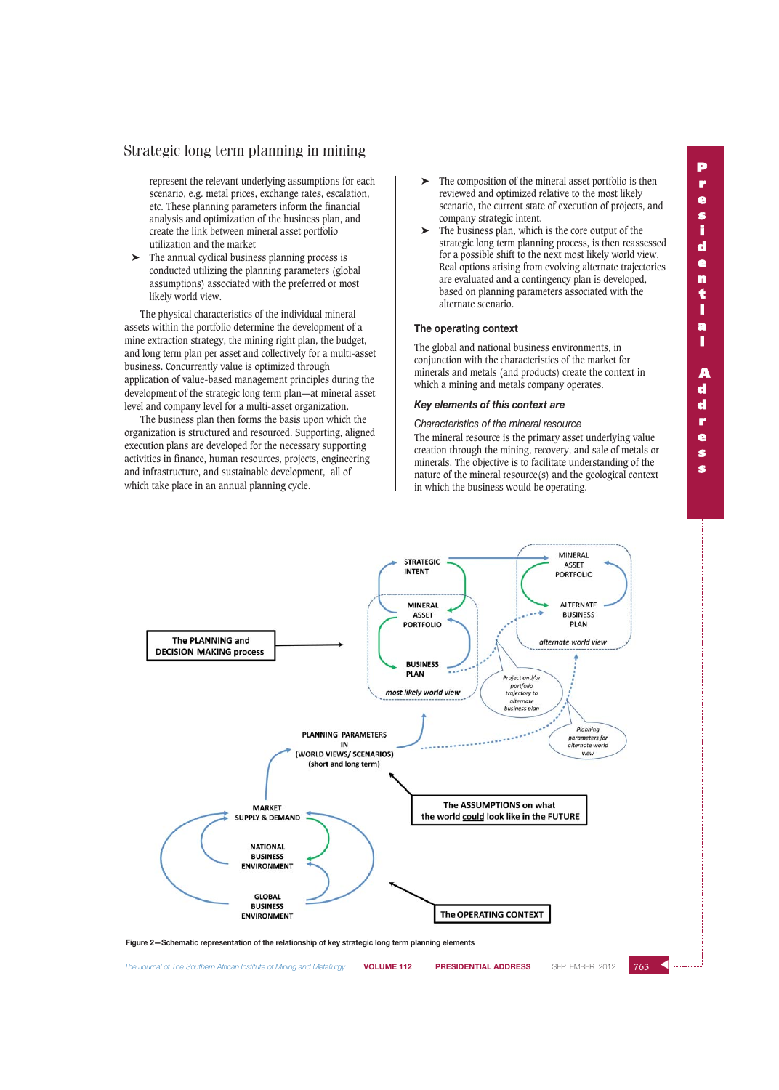represent the relevant underlying assumptions for each scenario, e.g. metal prices, exchange rates, escalation, etc. These planning parameters inform the financial analysis and optimization of the business plan, and create the link between mineral asset portfolio utilization and the market

➤ The annual cyclical business planning process is conducted utilizing the planning parameters (global assumptions) associated with the preferred or most likely world view.

The physical characteristics of the individual mineral assets within the portfolio determine the development of a mine extraction strategy, the mining right plan, the budget, and long term plan per asset and collectively for a multi-asset business. Concurrently value is optimized through application of value-based management principles during the development of the strategic long term plan—at mineral asset level and company level for a multi-asset organization.

The business plan then forms the basis upon which the organization is structured and resourced. Supporting, aligned execution plans are developed for the necessary supporting activities in finance, human resources, projects, engineering and infrastructure, and sustainable development, all of which take place in an annual planning cycle.

- The composition of the mineral asset portfolio is then reviewed and optimized relative to the most likely scenario, the current state of execution of projects, and company strategic intent.
- $\blacktriangleright$  The business plan, which is the core output of the strategic long term planning process, is then reassessed for a possible shift to the next most likely world view. Real options arising from evolving alternate trajectories are evaluated and a contingency plan is developed, based on planning parameters associated with the alternate scenario.

#### **The operating context**

The global and national business environments, in conjunction with the characteristics of the market for minerals and metals (and products) create the context in which a mining and metals company operates.

## *Key elements of this context are*

*Characteristics of the mineral resource* The mineral resource is the primary asset underlying value creation through the mining, recovery, and sale of metals or minerals. The objective is to facilitate understanding of the nature of the mineral resource(s) and the geological context in which the business would be operating.



*The Journal of The Southern African Institute of Mining and Metallurgy* **VOLUME 112 PRESIDENTIAL ADDRESS** SEPTEMBER 2012

#### 763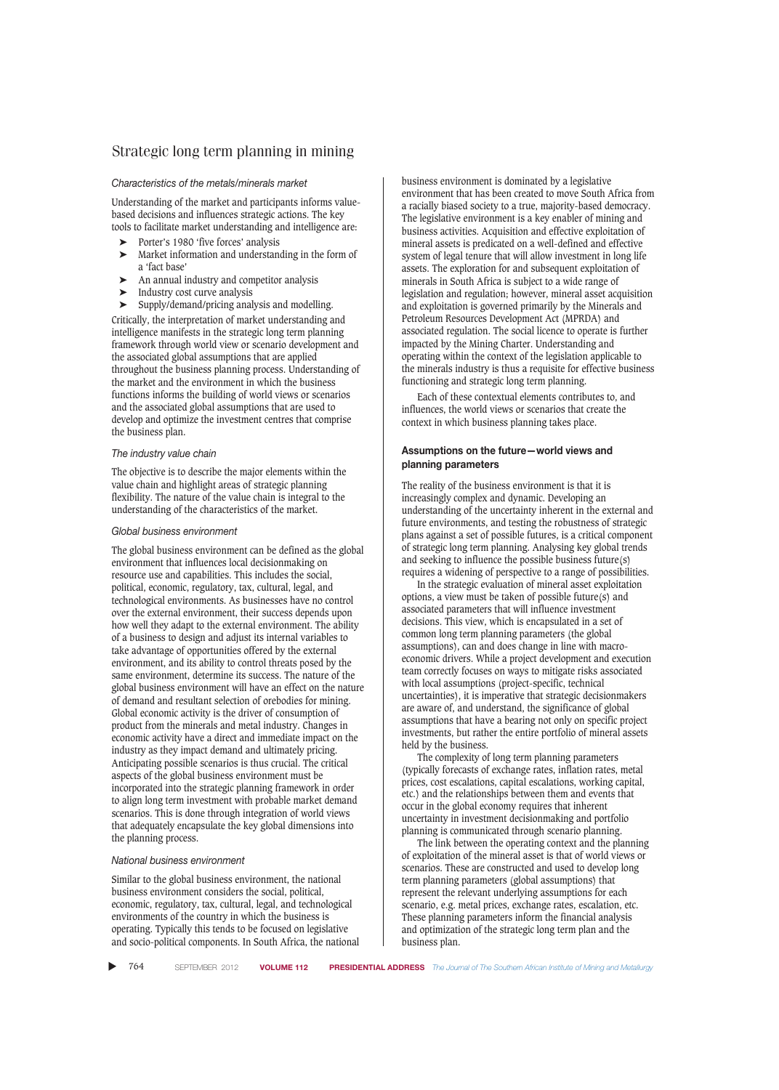#### *Characteristics of the metals/minerals market*

Understanding of the market and participants informs valuebased decisions and influences strategic actions. The key tools to facilitate market understanding and intelligence are:

- ➤ Porter's 1980 'five forces' analysis
- Market information and understanding in the form of a 'fact base'
- An annual industry and competitor analysis
- ➤ Industry cost curve analysis

➤ Supply/demand/pricing analysis and modelling.

Critically, the interpretation of market understanding and intelligence manifests in the strategic long term planning framework through world view or scenario development and the associated global assumptions that are applied throughout the business planning process. Understanding of the market and the environment in which the business functions informs the building of world views or scenarios and the associated global assumptions that are used to develop and optimize the investment centres that comprise the business plan.

#### *The industry value chain*

The objective is to describe the major elements within the value chain and highlight areas of strategic planning flexibility. The nature of the value chain is integral to the understanding of the characteristics of the market.

#### *Global business environment*

The global business environment can be defined as the global environment that influences local decisionmaking on resource use and capabilities. This includes the social, political, economic, regulatory, tax, cultural, legal, and technological environments. As businesses have no control over the external environment, their success depends upon how well they adapt to the external environment. The ability of a business to design and adjust its internal variables to take advantage of opportunities offered by the external environment, and its ability to control threats posed by the same environment, determine its success. The nature of the global business environment will have an effect on the nature of demand and resultant selection of orebodies for mining. Global economic activity is the driver of consumption of product from the minerals and metal industry. Changes in economic activity have a direct and immediate impact on the industry as they impact demand and ultimately pricing. Anticipating possible scenarios is thus crucial. The critical aspects of the global business environment must be incorporated into the strategic planning framework in order to align long term investment with probable market demand scenarios. This is done through integration of world views that adequately encapsulate the key global dimensions into the planning process.

#### *National business environment*

Similar to the global business environment, the national business environment considers the social, political, economic, regulatory, tax, cultural, legal, and technological environments of the country in which the business is operating. Typically this tends to be focused on legislative and socio-political components. In South Africa, the national business environment is dominated by a legislative environment that has been created to move South Africa from a racially biased society to a true, majority-based democracy. The legislative environment is a key enabler of mining and business activities. Acquisition and effective exploitation of mineral assets is predicated on a well-defined and effective system of legal tenure that will allow investment in long life assets. The exploration for and subsequent exploitation of minerals in South Africa is subject to a wide range of legislation and regulation; however, mineral asset acquisition and exploitation is governed primarily by the Minerals and Petroleum Resources Development Act (MPRDA) and associated regulation. The social licence to operate is further impacted by the Mining Charter. Understanding and operating within the context of the legislation applicable to the minerals industry is thus a requisite for effective business functioning and strategic long term planning.

Each of these contextual elements contributes to, and influences, the world views or scenarios that create the context in which business planning takes place.

## **Assumptions on the future—world views and planning parameters**

The reality of the business environment is that it is increasingly complex and dynamic. Developing an understanding of the uncertainty inherent in the external and future environments, and testing the robustness of strategic plans against a set of possible futures, is a critical component of strategic long term planning. Analysing key global trends and seeking to influence the possible business future(s) requires a widening of perspective to a range of possibilities.

In the strategic evaluation of mineral asset exploitation options, a view must be taken of possible future(s) and associated parameters that will influence investment decisions. This view, which is encapsulated in a set of common long term planning parameters (the global assumptions), can and does change in line with macroeconomic drivers. While a project development and execution team correctly focuses on ways to mitigate risks associated with local assumptions (project-specific, technical uncertainties), it is imperative that strategic decisionmakers are aware of, and understand, the significance of global assumptions that have a bearing not only on specific project investments, but rather the entire portfolio of mineral assets held by the business.

The complexity of long term planning parameters (typically forecasts of exchange rates, inflation rates, metal prices, cost escalations, capital escalations, working capital, etc.) and the relationships between them and events that occur in the global economy requires that inherent uncertainty in investment decisionmaking and portfolio planning is communicated through scenario planning.

The link between the operating context and the planning of exploitation of the mineral asset is that of world views or scenarios. These are constructed and used to develop long term planning parameters (global assumptions) that represent the relevant underlying assumptions for each scenario, e.g. metal prices, exchange rates, escalation, etc. These planning parameters inform the financial analysis and optimization of the strategic long term plan and the business plan.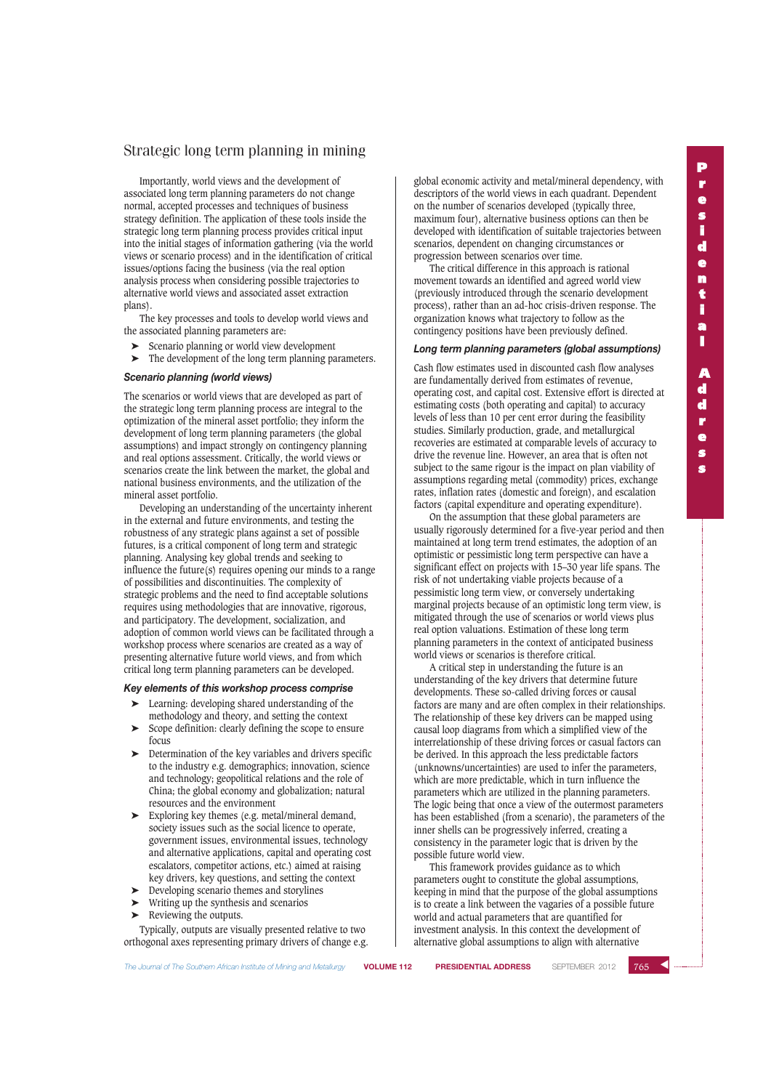Importantly, world views and the development of associated long term planning parameters do not change normal, accepted processes and techniques of business strategy definition. The application of these tools inside the strategic long term planning process provides critical input into the initial stages of information gathering (via the world views or scenario process) and in the identification of critical issues/options facing the business (via the real option analysis process when considering possible trajectories to alternative world views and associated asset extraction plans).

The key processes and tools to develop world views and the associated planning parameters are:

Scenario planning or world view development

➤ The development of the long term planning parameters.

#### *Scenario planning (world views)*

The scenarios or world views that are developed as part of the strategic long term planning process are integral to the optimization of the mineral asset portfolio; they inform the development of long term planning parameters (the global assumptions) and impact strongly on contingency planning and real options assessment. Critically, the world views or scenarios create the link between the market, the global and national business environments, and the utilization of the mineral asset portfolio.

Developing an understanding of the uncertainty inherent in the external and future environments, and testing the robustness of any strategic plans against a set of possible futures, is a critical component of long term and strategic planning. Analysing key global trends and seeking to influence the future(s) requires opening our minds to a range of possibilities and discontinuities. The complexity of strategic problems and the need to find acceptable solutions requires using methodologies that are innovative, rigorous, and participatory. The development, socialization, and adoption of common world views can be facilitated through a workshop process where scenarios are created as a way of presenting alternative future world views, and from which critical long term planning parameters can be developed.

## *Key elements of this workshop process comprise*

- Learning: developing shared understanding of the methodology and theory, and setting the context
- Scope definition: clearly defining the scope to ensure focus
- ➤ Determination of the key variables and drivers specific to the industry e.g. demographics; innovation, science and technology; geopolitical relations and the role of China; the global economy and globalization; natural resources and the environment
- ➤ Exploring key themes (e.g. metal/mineral demand, society issues such as the social licence to operate, government issues, environmental issues, technology and alternative applications, capital and operating cost escalators, competitor actions, etc.) aimed at raising key drivers, key questions, and setting the context
- ➤ Developing scenario themes and storylines
- ➤ Writing up the synthesis and scenarios
- ➤ Reviewing the outputs.

Typically, outputs are visually presented relative to two orthogonal axes representing primary drivers of change e.g. global economic activity and metal/mineral dependency, with descriptors of the world views in each quadrant. Dependent on the number of scenarios developed (typically three, maximum four), alternative business options can then be developed with identification of suitable trajectories between scenarios, dependent on changing circumstances or progression between scenarios over time.

The critical difference in this approach is rational movement towards an identified and agreed world view (previously introduced through the scenario development process), rather than an ad-hoc crisis-driven response. The organization knows what trajectory to follow as the contingency positions have been previously defined.

#### *Long term planning parameters (global assumptions)*

Cash flow estimates used in discounted cash flow analyses are fundamentally derived from estimates of revenue, operating cost, and capital cost. Extensive effort is directed at estimating costs (both operating and capital) to accuracy levels of less than 10 per cent error during the feasibility studies. Similarly production, grade, and metallurgical recoveries are estimated at comparable levels of accuracy to drive the revenue line. However, an area that is often not subject to the same rigour is the impact on plan viability of assumptions regarding metal (commodity) prices, exchange rates, inflation rates (domestic and foreign), and escalation factors (capital expenditure and operating expenditure).

On the assumption that these global parameters are usually rigorously determined for a five-year period and then maintained at long term trend estimates, the adoption of an optimistic or pessimistic long term perspective can have a significant effect on projects with 15–30 year life spans. The risk of not undertaking viable projects because of a pessimistic long term view, or conversely undertaking marginal projects because of an optimistic long term view, is mitigated through the use of scenarios or world views plus real option valuations. Estimation of these long term planning parameters in the context of anticipated business world views or scenarios is therefore critical.

A critical step in understanding the future is an understanding of the key drivers that determine future developments. These so-called driving forces or causal factors are many and are often complex in their relationships. The relationship of these key drivers can be mapped using causal loop diagrams from which a simplified view of the interrelationship of these driving forces or casual factors can be derived. In this approach the less predictable factors (unknowns/uncertainties) are used to infer the parameters, which are more predictable, which in turn influence the parameters which are utilized in the planning parameters. The logic being that once a view of the outermost parameters has been established (from a scenario), the parameters of the inner shells can be progressively inferred, creating a consistency in the parameter logic that is driven by the possible future world view.

This framework provides guidance as to which parameters ought to constitute the global assumptions, keeping in mind that the purpose of the global assumptions is to create a link between the vagaries of a possible future world and actual parameters that are quantified for investment analysis. In this context the development of alternative global assumptions to align with alternative

 $765$   $\leq$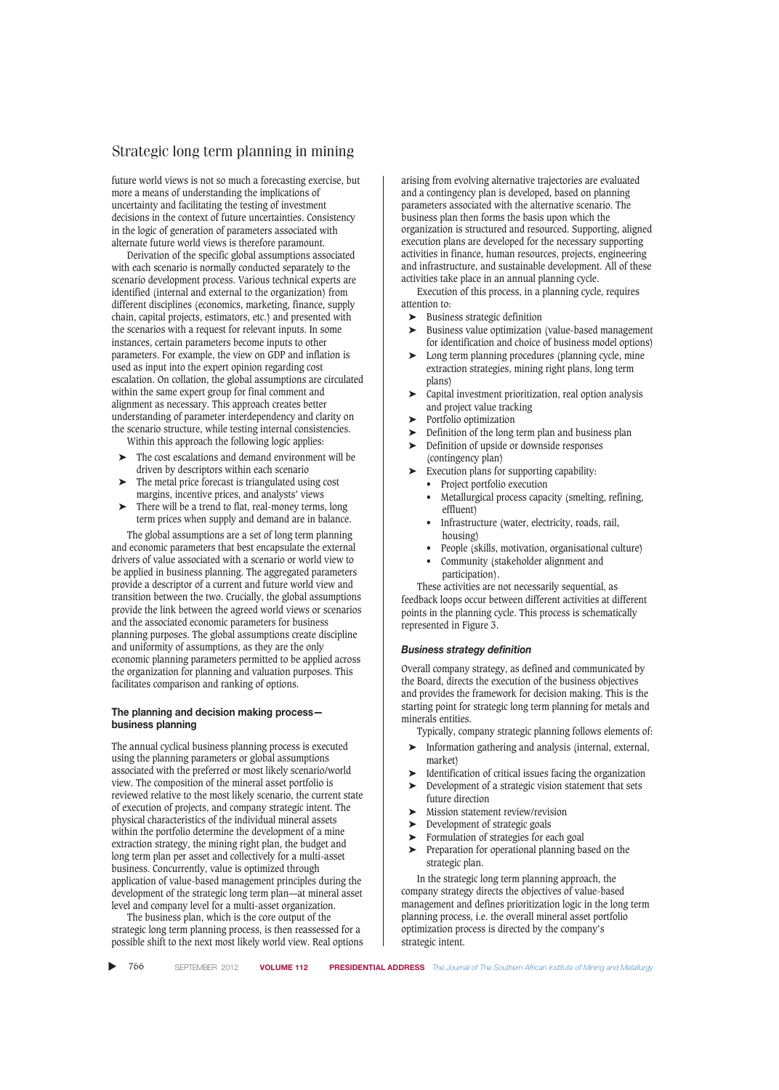future world views is not so much a forecasting exercise, but more a means of understanding the implications of uncertainty and facilitating the testing of investment decisions in the context of future uncertainties. Consistency in the logic of generation of parameters associated with alternate future world views is therefore paramount.

Derivation of the specific global assumptions associated with each scenario is normally conducted separately to the scenario development process. Various technical experts are identified (internal and external to the organization) from different disciplines (economics, marketing, finance, supply chain, capital projects, estimators, etc.) and presented with the scenarios with a request for relevant inputs. In some instances, certain parameters become inputs to other parameters. For example, the view on GDP and inflation is used as input into the expert opinion regarding cost escalation. On collation, the global assumptions are circulated within the same expert group for final comment and alignment as necessary. This approach creates better understanding of parameter interdependency and clarity on the scenario structure, while testing internal consistencies.

Within this approach the following logic applies:

- The cost escalations and demand environment will be driven by descriptors within each scenario
- ➤ The metal price forecast is triangulated using cost margins, incentive prices, and analysts' views
- ➤ There will be a trend to flat, real-money terms, long term prices when supply and demand are in balance.

The global assumptions are a set of long term planning and economic parameters that best encapsulate the external drivers of value associated with a scenario or world view to be applied in business planning. The aggregated parameters provide a descriptor of a current and future world view and transition between the two. Crucially, the global assumptions provide the link between the agreed world views or scenarios and the associated economic parameters for business planning purposes. The global assumptions create discipline and uniformity of assumptions, as they are the only economic planning parameters permitted to be applied across the organization for planning and valuation purposes. This facilitates comparison and ranking of options.

## **The planning and decision making process business planning**

The annual cyclical business planning process is executed using the planning parameters or global assumptions associated with the preferred or most likely scenario/world view. The composition of the mineral asset portfolio is reviewed relative to the most likely scenario, the current state of execution of projects, and company strategic intent. The physical characteristics of the individual mineral assets within the portfolio determine the development of a mine extraction strategy, the mining right plan, the budget and long term plan per asset and collectively for a multi-asset business. Concurrently, value is optimized through application of value-based management principles during the development of the strategic long term plan—at mineral asset level and company level for a multi-asset organization.

The business plan, which is the core output of the strategic long term planning process, is then reassessed for a possible shift to the next most likely world view. Real options arising from evolving alternative trajectories are evaluated and a contingency plan is developed, based on planning parameters associated with the alternative scenario. The business plan then forms the basis upon which the organization is structured and resourced. Supporting, aligned execution plans are developed for the necessary supporting activities in finance, human resources, projects, engineering and infrastructure, and sustainable development. All of these activities take place in an annual planning cycle.

Execution of this process, in a planning cycle, requires attention to:

- ➤ Business strategic definition
- ➤ Business value optimization (value-based management for identification and choice of business model options)
- Long term planning procedures (planning cycle, mine extraction strategies, mining right plans, long term plans)
- ➤ Capital investment prioritization, real option analysis and project value tracking
- ➤ Portfolio optimization
- ➤ Definition of the long term plan and business plan
- ➤ Definition of upside or downside responses
	- (contingency plan)
	- Execution plans for supporting capability:
	- Project portfolio execution
	- Metallurgical process capacity (smelting, refining, effluent)
	- Infrastructure (water, electricity, roads, rail, housing)
	- People (skills, motivation, organisational culture) • Community (stakeholder alignment and
	- participation).
	- These activities are not necessarily sequential, as

feedback loops occur between different activities at different points in the planning cycle. This process is schematically represented in Figure 3.

#### *Business strategy definition*

Overall company strategy, as defined and communicated by the Board, directs the execution of the business objectives and provides the framework for decision making. This is the starting point for strategic long term planning for metals and minerals entities.

- Typically, company strategic planning follows elements of:
- ➤ Information gathering and analysis (internal, external, market)
- ➤ Identification of critical issues facing the organization
- ➤ Development of a strategic vision statement that sets future direction
- ➤ Mission statement review/revision
- Development of strategic goals
- ➤ Formulation of strategies for each goal
- ➤ Preparation for operational planning based on the strategic plan.

In the strategic long term planning approach, the company strategy directs the objectives of value-based management and defines prioritization logic in the long term planning process, i.e. the overall mineral asset portfolio optimization process is directed by the company's strategic intent.

▲ 766 SEPTEMBER 2012 **VOLUME 112 PRESIDENTIAL ADDRESS** *The Journal of The Southern African Institute of Mining and Metallurgy*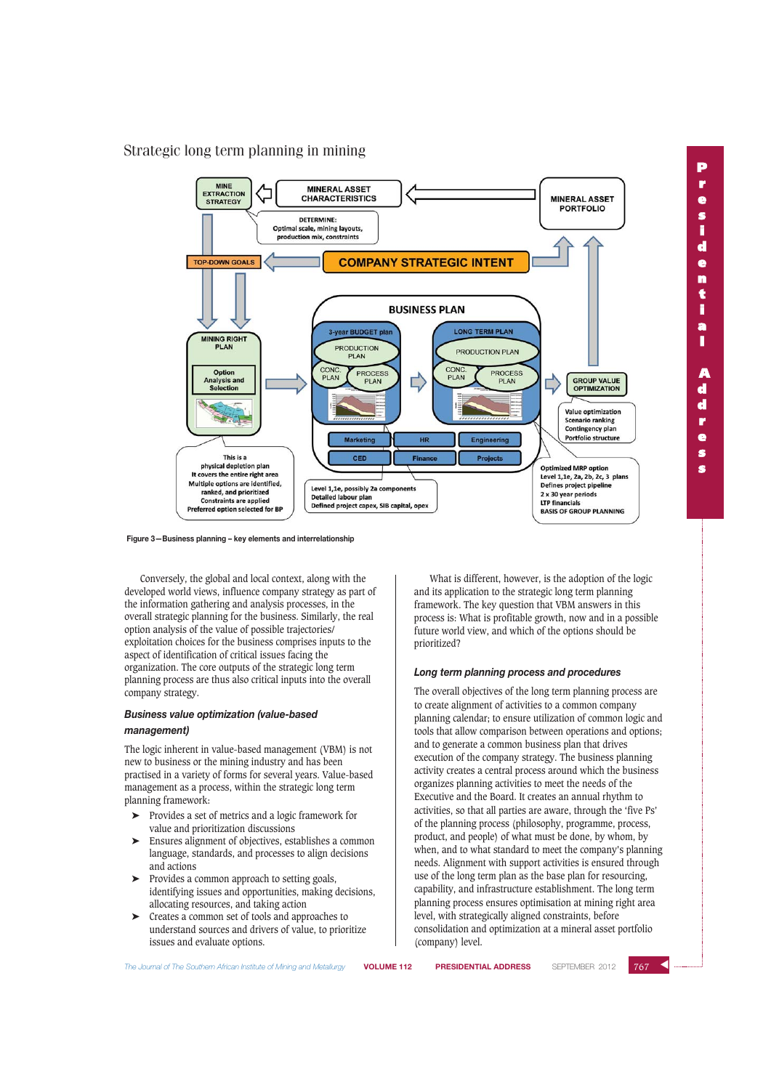

**Figure 3—Business planning – key elements and interrelationship**

Conversely, the global and local context, along with the developed world views, influence company strategy as part of the information gathering and analysis processes, in the overall strategic planning for the business. Similarly, the real option analysis of the value of possible trajectories/ exploitation choices for the business comprises inputs to the aspect of identification of critical issues facing the organization. The core outputs of the strategic long term planning process are thus also critical inputs into the overall company strategy.

## *Business value optimization (value-based management)*

The logic inherent in value-based management (VBM) is not new to business or the mining industry and has been practised in a variety of forms for several years. Value-based management as a process, within the strategic long term planning framework:

- ➤ Provides a set of metrics and a logic framework for value and prioritization discussions
- ➤ Ensures alignment of objectives, establishes a common language, standards, and processes to align decisions and actions
- ➤ Provides a common approach to setting goals, identifying issues and opportunities, making decisions, allocating resources, and taking action
- ➤ Creates a common set of tools and approaches to understand sources and drivers of value, to prioritize issues and evaluate options.

What is different, however, is the adoption of the logic and its application to the strategic long term planning framework. The key question that VBM answers in this process is: What is profitable growth, now and in a possible future world view, and which of the options should be prioritized?

#### *Long term planning process and procedures*

The overall objectives of the long term planning process are to create alignment of activities to a common company planning calendar; to ensure utilization of common logic and tools that allow comparison between operations and options; and to generate a common business plan that drives execution of the company strategy. The business planning activity creates a central process around which the business organizes planning activities to meet the needs of the Executive and the Board. It creates an annual rhythm to activities, so that all parties are aware, through the 'five Ps' of the planning process (philosophy, programme, process, product, and people) of what must be done, by whom, by when, and to what standard to meet the company's planning needs. Alignment with support activities is ensured through use of the long term plan as the base plan for resourcing, capability, and infrastructure establishment. The long term planning process ensures optimisation at mining right area level, with strategically aligned constraints, before consolidation and optimization at a mineral asset portfolio (company) level.

**s**

**P**

*The Journal of The Southern African Institute of Mining and Metallurgy* **VOLUME 112 PRESIDENTIAL ADDRESS** SEPTEMBER 2012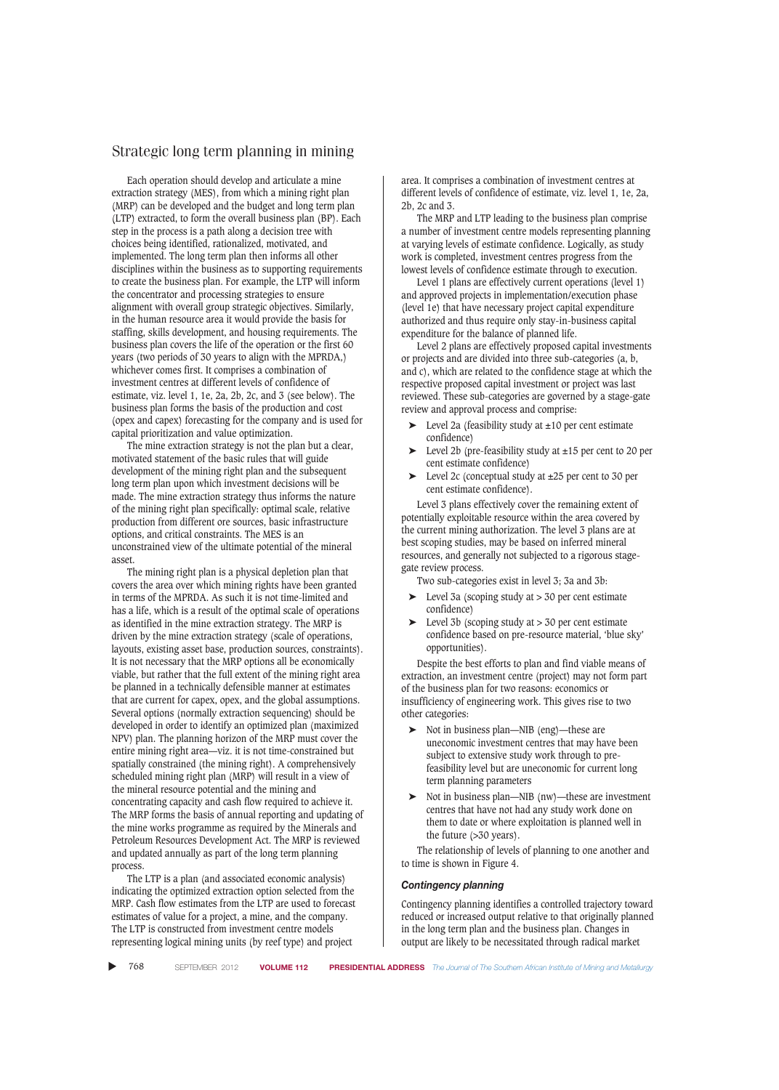Each operation should develop and articulate a mine extraction strategy (MES), from which a mining right plan (MRP) can be developed and the budget and long term plan (LTP) extracted, to form the overall business plan (BP). Each step in the process is a path along a decision tree with choices being identified, rationalized, motivated, and implemented. The long term plan then informs all other disciplines within the business as to supporting requirements to create the business plan. For example, the LTP will inform the concentrator and processing strategies to ensure alignment with overall group strategic objectives. Similarly, in the human resource area it would provide the basis for staffing, skills development, and housing requirements. The business plan covers the life of the operation or the first 60 years (two periods of 30 years to align with the MPRDA,) whichever comes first. It comprises a combination of investment centres at different levels of confidence of estimate, viz. level 1, 1e, 2a, 2b, 2c, and 3 (see below). The business plan forms the basis of the production and cost (opex and capex) forecasting for the company and is used for capital prioritization and value optimization.

The mine extraction strategy is not the plan but a clear, motivated statement of the basic rules that will guide development of the mining right plan and the subsequent long term plan upon which investment decisions will be made. The mine extraction strategy thus informs the nature of the mining right plan specifically: optimal scale, relative production from different ore sources, basic infrastructure options, and critical constraints. The MES is an unconstrained view of the ultimate potential of the mineral asset.

The mining right plan is a physical depletion plan that covers the area over which mining rights have been granted in terms of the MPRDA. As such it is not time-limited and has a life, which is a result of the optimal scale of operations as identified in the mine extraction strategy. The MRP is driven by the mine extraction strategy (scale of operations, layouts, existing asset base, production sources, constraints). It is not necessary that the MRP options all be economically viable, but rather that the full extent of the mining right area be planned in a technically defensible manner at estimates that are current for capex, opex, and the global assumptions. Several options (normally extraction sequencing) should be developed in order to identify an optimized plan (maximized NPV) plan. The planning horizon of the MRP must cover the entire mining right area—viz. it is not time-constrained but spatially constrained (the mining right). A comprehensively scheduled mining right plan (MRP) will result in a view of the mineral resource potential and the mining and concentrating capacity and cash flow required to achieve it. The MRP forms the basis of annual reporting and updating of the mine works programme as required by the Minerals and Petroleum Resources Development Act. The MRP is reviewed and updated annually as part of the long term planning process.

The LTP is a plan (and associated economic analysis) indicating the optimized extraction option selected from the MRP. Cash flow estimates from the LTP are used to forecast estimates of value for a project, a mine, and the company. The LTP is constructed from investment centre models representing logical mining units (by reef type) and project

area. It comprises a combination of investment centres at different levels of confidence of estimate, viz. level 1, 1e, 2a, 2b, 2c and 3.

The MRP and LTP leading to the business plan comprise a number of investment centre models representing planning at varying levels of estimate confidence. Logically, as study work is completed, investment centres progress from the lowest levels of confidence estimate through to execution.

Level 1 plans are effectively current operations (level 1) and approved projects in implementation/execution phase (level 1e) that have necessary project capital expenditure authorized and thus require only stay-in-business capital expenditure for the balance of planned life.

Level 2 plans are effectively proposed capital investments or projects and are divided into three sub-categories (a, b, and c), which are related to the confidence stage at which the respective proposed capital investment or project was last reviewed. These sub-categories are governed by a stage-gate review and approval process and comprise:

- ➤ Level 2a (feasibility study at ±10 per cent estimate confidence)
- ➤ Level 2b (pre-feasibility study at ±15 per cent to 20 per cent estimate confidence)
- ➤ Level 2c (conceptual study at ±25 per cent to 30 per cent estimate confidence).

Level 3 plans effectively cover the remaining extent of potentially exploitable resource within the area covered by the current mining authorization. The level 3 plans are at best scoping studies, may be based on inferred mineral resources, and generally not subjected to a rigorous stagegate review process.

Two sub-categories exist in level 3; 3a and 3b:

- $\blacktriangleright$  Level 3a (scoping study at  $> 30$  per cent estimate confidence)
- $\blacktriangleright$  Level 3b (scoping study at  $>$  30 per cent estimate confidence based on pre-resource material, 'blue sky' opportunities).

Despite the best efforts to plan and find viable means of extraction, an investment centre (project) may not form part of the business plan for two reasons: economics or insufficiency of engineering work. This gives rise to two other categories:

- ➤ Not in business plan—NIB (eng)—these are uneconomic investment centres that may have been subject to extensive study work through to prefeasibility level but are uneconomic for current long term planning parameters
- ➤ Not in business plan—NIB (nw)—these are investment centres that have not had any study work done on them to date or where exploitation is planned well in the future (>30 years).

The relationship of levels of planning to one another and to time is shown in Figure 4.

## *Contingency planning*

Contingency planning identifies a controlled trajectory toward reduced or increased output relative to that originally planned in the long term plan and the business plan. Changes in output are likely to be necessitated through radical market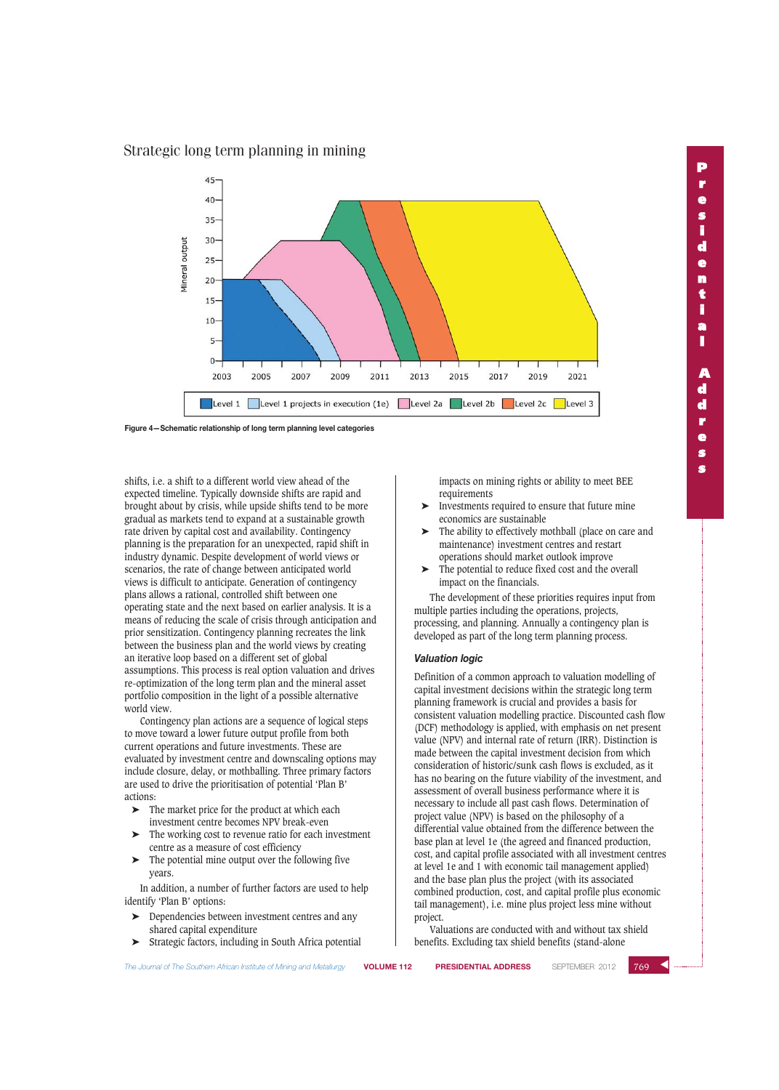

**Figure 4—Schematic relationship of long term planning level categories**

shifts, i.e. a shift to a different world view ahead of the expected timeline. Typically downside shifts are rapid and brought about by crisis, while upside shifts tend to be more gradual as markets tend to expand at a sustainable growth rate driven by capital cost and availability. Contingency planning is the preparation for an unexpected, rapid shift in industry dynamic. Despite development of world views or scenarios, the rate of change between anticipated world views is difficult to anticipate. Generation of contingency plans allows a rational, controlled shift between one operating state and the next based on earlier analysis. It is a means of reducing the scale of crisis through anticipation and prior sensitization. Contingency planning recreates the link between the business plan and the world views by creating an iterative loop based on a different set of global assumptions. This process is real option valuation and drives re-optimization of the long term plan and the mineral asset portfolio composition in the light of a possible alternative world view.

Contingency plan actions are a sequence of logical steps to move toward a lower future output profile from both current operations and future investments. These are evaluated by investment centre and downscaling options may include closure, delay, or mothballing. Three primary factors are used to drive the prioritisation of potential 'Plan B' actions:

- The market price for the product at which each investment centre becomes NPV break-even
- The working cost to revenue ratio for each investment centre as a measure of cost efficiency
- The potential mine output over the following five years.

In addition, a number of further factors are used to help identify 'Plan B' options:

- ➤ Dependencies between investment centres and any shared capital expenditure
- ➤ Strategic factors, including in South Africa potential

impacts on mining rights or ability to meet BEE requirements

- ➤ Investments required to ensure that future mine economics are sustainable
- The ability to effectively mothball (place on care and maintenance) investment centres and restart operations should market outlook improve
- The potential to reduce fixed cost and the overall impact on the financials.

The development of these priorities requires input from multiple parties including the operations, projects, processing, and planning. Annually a contingency plan is developed as part of the long term planning process.

#### *Valuation logic*

Definition of a common approach to valuation modelling of capital investment decisions within the strategic long term planning framework is crucial and provides a basis for consistent valuation modelling practice. Discounted cash flow (DCF) methodology is applied, with emphasis on net present value (NPV) and internal rate of return (IRR). Distinction is made between the capital investment decision from which consideration of historic/sunk cash flows is excluded, as it has no bearing on the future viability of the investment, and assessment of overall business performance where it is necessary to include all past cash flows. Determination of project value (NPV) is based on the philosophy of a differential value obtained from the difference between the base plan at level 1e (the agreed and financed production, cost, and capital profile associated with all investment centres at level 1e and 1 with economic tail management applied) and the base plan plus the project (with its associated combined production, cost, and capital profile plus economic tail management), i.e. mine plus project less mine without project.

Valuations are conducted with and without tax shield benefits. Excluding tax shield benefits (stand-alone

*The Journal of The Southern African Institute of Mining and Metallurgy* **VOLUME 112 PRESIDENTIAL ADDRESS** SEPTEMBER 2012

 $769$   $\triangleleft$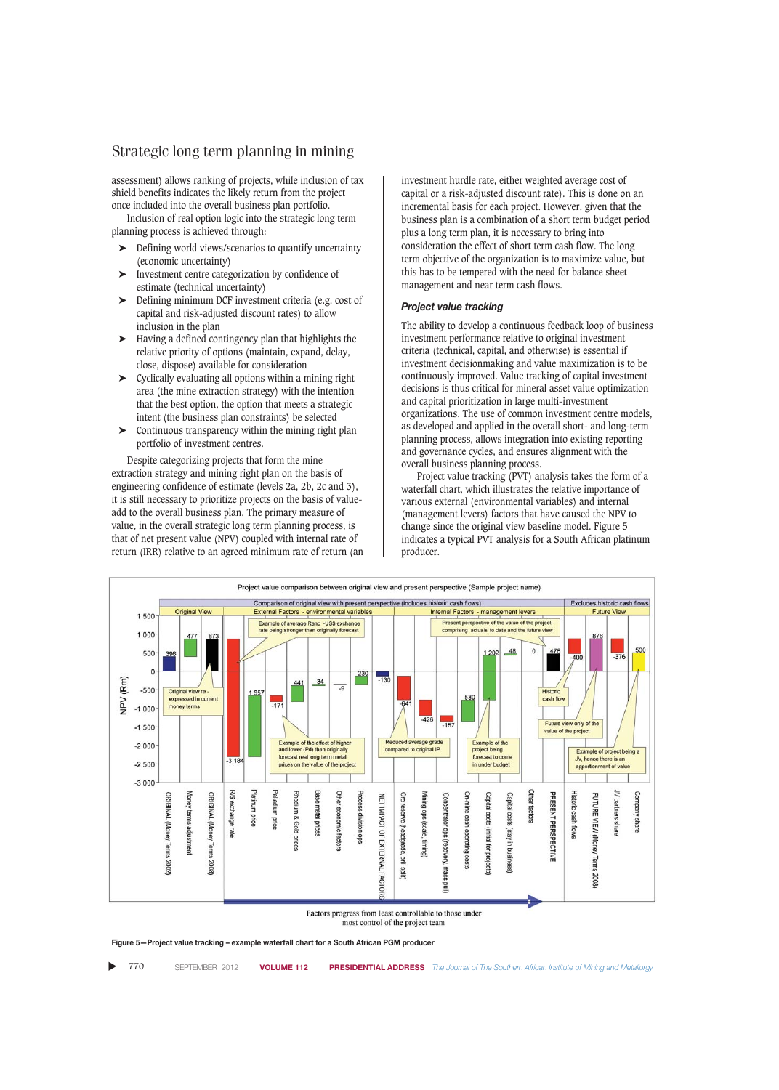assessment) allows ranking of projects, while inclusion of tax shield benefits indicates the likely return from the project once included into the overall business plan portfolio.

Inclusion of real option logic into the strategic long term planning process is achieved through:

- Defining world views/scenarios to quantify uncertainty (economic uncertainty)
- ➤ Investment centre categorization by confidence of estimate (technical uncertainty)
- ➤ Defining minimum DCF investment criteria (e.g. cost of capital and risk-adjusted discount rates) to allow inclusion in the plan
- ➤ Having a defined contingency plan that highlights the relative priority of options (maintain, expand, delay, close, dispose) available for consideration
- ➤ Cyclically evaluating all options within a mining right area (the mine extraction strategy) with the intention that the best option, the option that meets a strategic intent (the business plan constraints) be selected
- $\triangleright$  Continuous transparency within the mining right plan portfolio of investment centres.

Despite categorizing projects that form the mine extraction strategy and mining right plan on the basis of engineering confidence of estimate (levels 2a, 2b, 2c and 3), it is still necessary to prioritize projects on the basis of valueadd to the overall business plan. The primary measure of value, in the overall strategic long term planning process, is that of net present value (NPV) coupled with internal rate of return (IRR) relative to an agreed minimum rate of return (an investment hurdle rate, either weighted average cost of capital or a risk-adjusted discount rate). This is done on an incremental basis for each project. However, given that the business plan is a combination of a short term budget period plus a long term plan, it is necessary to bring into consideration the effect of short term cash flow. The long term objective of the organization is to maximize value, but this has to be tempered with the need for balance sheet management and near term cash flows.

## *Project value tracking*

The ability to develop a continuous feedback loop of business investment performance relative to original investment criteria (technical, capital, and otherwise) is essential if investment decisionmaking and value maximization is to be continuously improved. Value tracking of capital investment decisions is thus critical for mineral asset value optimization and capital prioritization in large multi-investment organizations. The use of common investment centre models, as developed and applied in the overall short- and long-term planning process, allows integration into existing reporting and governance cycles, and ensures alignment with the overall business planning process.

Project value tracking (PVT) analysis takes the form of a waterfall chart, which illustrates the relative importance of various external (environmental variables) and internal (management levers) factors that have caused the NPV to change since the original view baseline model. Figure 5 indicates a typical PVT analysis for a South African platinum producer.



Factors progress from least controllable to those under most control of the project team

**Figure 5—Project value tracking – example waterfall chart for a South African PGM producer**

▲ 770 SEPTEMBER 2012 **VOLUME 112 PRESIDENTIAL ADDRESS** *The Journal of The Southern African Institute of Mining and Metallurgy*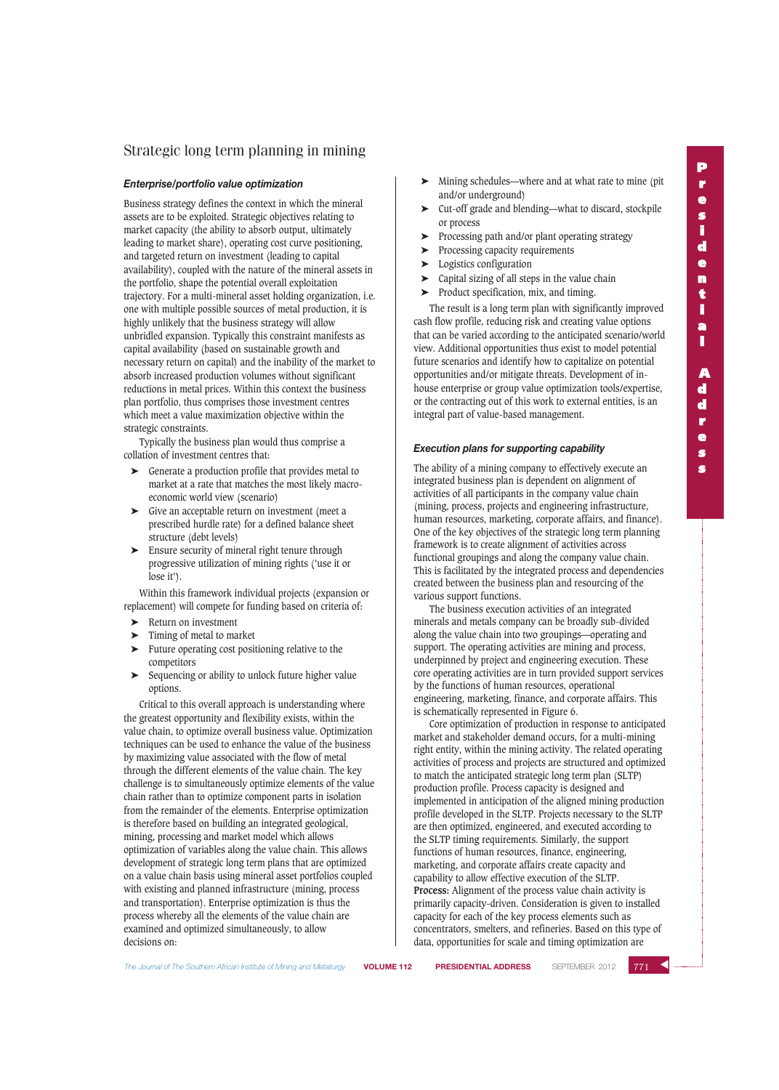#### *Enterprise/portfolio value optimization*

Business strategy defines the context in which the mineral assets are to be exploited. Strategic objectives relating to market capacity (the ability to absorb output, ultimately leading to market share), operating cost curve positioning, and targeted return on investment (leading to capital availability), coupled with the nature of the mineral assets in the portfolio, shape the potential overall exploitation trajectory. For a multi-mineral asset holding organization, i.e. one with multiple possible sources of metal production, it is highly unlikely that the business strategy will allow unbridled expansion. Typically this constraint manifests as capital availability (based on sustainable growth and necessary return on capital) and the inability of the market to absorb increased production volumes without significant reductions in metal prices. Within this context the business plan portfolio, thus comprises those investment centres which meet a value maximization objective within the strategic constraints.

Typically the business plan would thus comprise a collation of investment centres that:

- Generate a production profile that provides metal to market at a rate that matches the most likely macroeconomic world view (scenario)
- ➤ Give an acceptable return on investment (meet a prescribed hurdle rate) for a defined balance sheet structure (debt levels)
- ➤ Ensure security of mineral right tenure through progressive utilization of mining rights ('use it or lose it').

Within this framework individual projects (expansion or replacement) will compete for funding based on criteria of:

- ➤ Return on investment
- ➤ Timing of metal to market
- ➤ Future operating cost positioning relative to the competitors
- Sequencing or ability to unlock future higher value options.

Critical to this overall approach is understanding where the greatest opportunity and flexibility exists, within the value chain, to optimize overall business value. Optimization techniques can be used to enhance the value of the business by maximizing value associated with the flow of metal through the different elements of the value chain. The key challenge is to simultaneously optimize elements of the value chain rather than to optimize component parts in isolation from the remainder of the elements. Enterprise optimization is therefore based on building an integrated geological, mining, processing and market model which allows optimization of variables along the value chain. This allows development of strategic long term plans that are optimized on a value chain basis using mineral asset portfolios coupled with existing and planned infrastructure (mining, process and transportation). Enterprise optimization is thus the process whereby all the elements of the value chain are examined and optimized simultaneously, to allow decisions on:

- ➤ Mining schedules—where and at what rate to mine (pit and/or underground)
- ➤ Cut-off grade and blending—what to discard, stockpile or process
- ➤ Processing path and/or plant operating strategy
- ➤ Processing capacity requirements
- ➤ Logistics configuration
- ➤ Capital sizing of all steps in the value chain
- ➤ Product specification, mix, and timing.

The result is a long term plan with significantly improved cash flow profile, reducing risk and creating value options that can be varied according to the anticipated scenario/world view. Additional opportunities thus exist to model potential future scenarios and identify how to capitalize on potential opportunities and/or mitigate threats. Development of inhouse enterprise or group value optimization tools/expertise, or the contracting out of this work to external entities, is an integral part of value-based management.

### *Execution plans for supporting capability*

The ability of a mining company to effectively execute an integrated business plan is dependent on alignment of activities of all participants in the company value chain (mining, process, projects and engineering infrastructure, human resources, marketing, corporate affairs, and finance). One of the key objectives of the strategic long term planning framework is to create alignment of activities across functional groupings and along the company value chain. This is facilitated by the integrated process and dependencies created between the business plan and resourcing of the various support functions.

The business execution activities of an integrated minerals and metals company can be broadly sub-divided along the value chain into two groupings—operating and support. The operating activities are mining and process, underpinned by project and engineering execution. These core operating activities are in turn provided support services by the functions of human resources, operational engineering, marketing, finance, and corporate affairs. This is schematically represented in Figure 6.

Core optimization of production in response to anticipated market and stakeholder demand occurs, for a multi-mining right entity, within the mining activity. The related operating activities of process and projects are structured and optimized to match the anticipated strategic long term plan (SLTP) production profile. Process capacity is designed and implemented in anticipation of the aligned mining production profile developed in the SLTP. Projects necessary to the SLTP are then optimized, engineered, and executed according to the SLTP timing requirements. Similarly, the support functions of human resources, finance, engineering, marketing, and corporate affairs create capacity and capability to allow effective execution of the SLTP. **Process:** Alignment of the process value chain activity is primarily capacity-driven. Consideration is given to installed capacity for each of the key process elements such as concentrators, smelters, and refineries. Based on this type of data, opportunities for scale and timing optimization are

 $771$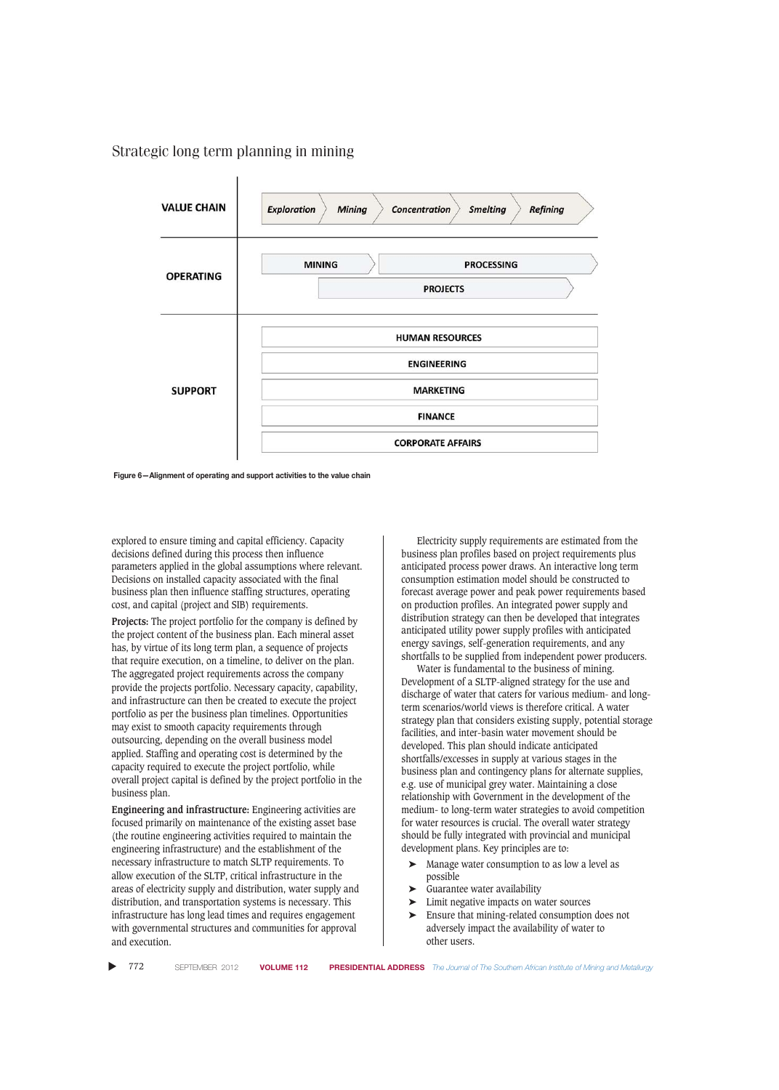

**Figure 6—Alignment of operating and support activities to the value chain**

explored to ensure timing and capital efficiency. Capacity decisions defined during this process then influence parameters applied in the global assumptions where relevant. Decisions on installed capacity associated with the final business plan then influence staffing structures, operating cost, and capital (project and SIB) requirements.

**Projects:** The project portfolio for the company is defined by the project content of the business plan. Each mineral asset has, by virtue of its long term plan, a sequence of projects that require execution, on a timeline, to deliver on the plan. The aggregated project requirements across the company provide the projects portfolio. Necessary capacity, capability, and infrastructure can then be created to execute the project portfolio as per the business plan timelines. Opportunities may exist to smooth capacity requirements through outsourcing, depending on the overall business model applied. Staffing and operating cost is determined by the capacity required to execute the project portfolio, while overall project capital is defined by the project portfolio in the business plan.

**Engineering and infrastructure:** Engineering activities are focused primarily on maintenance of the existing asset base (the routine engineering activities required to maintain the engineering infrastructure) and the establishment of the necessary infrastructure to match SLTP requirements. To allow execution of the SLTP, critical infrastructure in the areas of electricity supply and distribution, water supply and distribution, and transportation systems is necessary. This infrastructure has long lead times and requires engagement with governmental structures and communities for approval and execution.

Electricity supply requirements are estimated from the business plan profiles based on project requirements plus anticipated process power draws. An interactive long term consumption estimation model should be constructed to forecast average power and peak power requirements based on production profiles. An integrated power supply and distribution strategy can then be developed that integrates anticipated utility power supply profiles with anticipated energy savings, self-generation requirements, and any shortfalls to be supplied from independent power producers.

Water is fundamental to the business of mining. Development of a SLTP-aligned strategy for the use and discharge of water that caters for various medium- and longterm scenarios/world views is therefore critical. A water strategy plan that considers existing supply, potential storage facilities, and inter-basin water movement should be developed. This plan should indicate anticipated shortfalls/excesses in supply at various stages in the business plan and contingency plans for alternate supplies, e.g. use of municipal grey water. Maintaining a close relationship with Government in the development of the medium- to long-term water strategies to avoid competition for water resources is crucial. The overall water strategy should be fully integrated with provincial and municipal development plans. Key principles are to:

- ➤ Manage water consumption to as low a level as possible
- ➤ Guarantee water availability
- ➤ Limit negative impacts on water sources
- ➤ Ensure that mining-related consumption does not adversely impact the availability of water to other users.

▲ 772 SEPTEMBER 2012 **VOLUME 112 PRESIDENTIAL ADDRESS** *The Journal of The Southern African Institute of Mining and Metallurgy*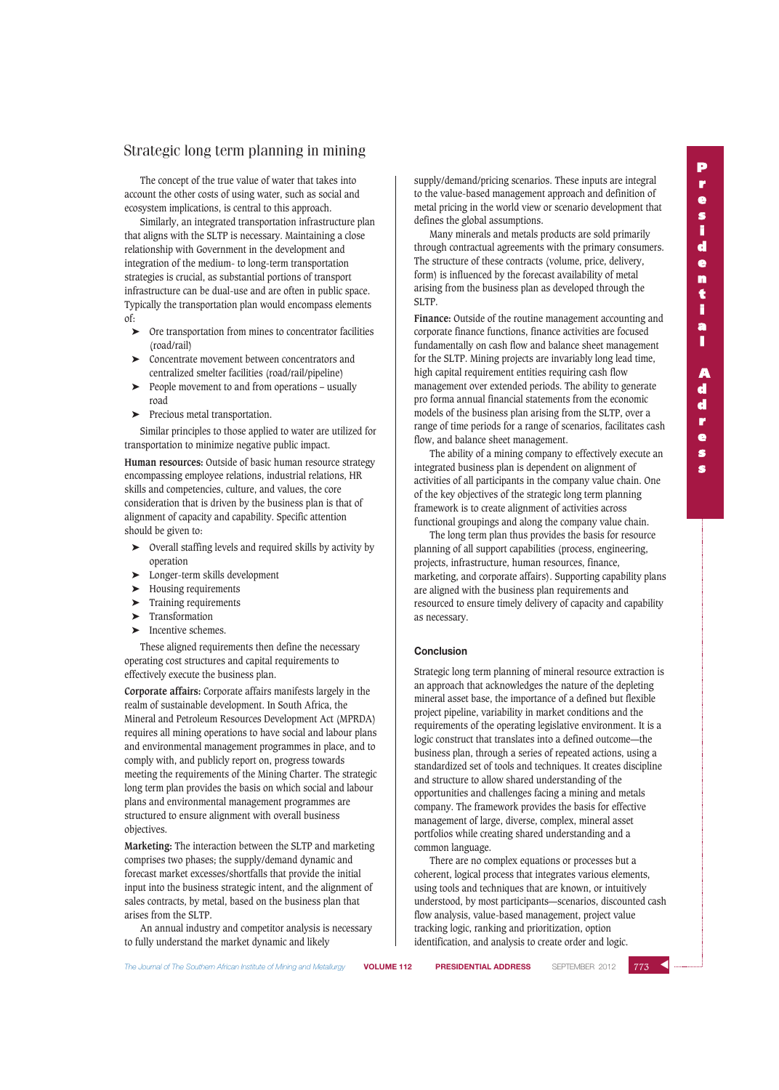The concept of the true value of water that takes into account the other costs of using water, such as social and ecosystem implications, is central to this approach.

Similarly, an integrated transportation infrastructure plan that aligns with the SLTP is necessary. Maintaining a close relationship with Government in the development and integration of the medium- to long-term transportation strategies is crucial, as substantial portions of transport infrastructure can be dual-use and are often in public space. Typically the transportation plan would encompass elements of:

- ➤ Ore transportation from mines to concentrator facilities (road/rail)
- ➤ Concentrate movement between concentrators and centralized smelter facilities (road/rail/pipeline)
- ➤ People movement to and from operations usually road
- ➤ Precious metal transportation.

Similar principles to those applied to water are utilized for transportation to minimize negative public impact.

**Human resources:** Outside of basic human resource strategy encompassing employee relations, industrial relations, HR skills and competencies, culture, and values, the core consideration that is driven by the business plan is that of alignment of capacity and capability. Specific attention should be given to:

- ➤ Overall staffing levels and required skills by activity by operation
- ➤ Longer-term skills development
- ➤ Housing requirements
- ➤ Training requirements
- ➤ Transformation
- ➤ Incentive schemes.

These aligned requirements then define the necessary operating cost structures and capital requirements to effectively execute the business plan.

**Corporate affairs:** Corporate affairs manifests largely in the realm of sustainable development. In South Africa, the Mineral and Petroleum Resources Development Act (MPRDA) requires all mining operations to have social and labour plans and environmental management programmes in place, and to comply with, and publicly report on, progress towards meeting the requirements of the Mining Charter. The strategic long term plan provides the basis on which social and labour plans and environmental management programmes are structured to ensure alignment with overall business objectives.

**Marketing:** The interaction between the SLTP and marketing comprises two phases; the supply/demand dynamic and forecast market excesses/shortfalls that provide the initial input into the business strategic intent, and the alignment of sales contracts, by metal, based on the business plan that arises from the SLTP.

An annual industry and competitor analysis is necessary to fully understand the market dynamic and likely

supply/demand/pricing scenarios. These inputs are integral to the value-based management approach and definition of metal pricing in the world view or scenario development that defines the global assumptions.

Many minerals and metals products are sold primarily through contractual agreements with the primary consumers. The structure of these contracts (volume, price, delivery, form) is influenced by the forecast availability of metal arising from the business plan as developed through the SLTP.

Finance: Outside of the routine management accounting and corporate finance functions, finance activities are focused fundamentally on cash flow and balance sheet management for the SLTP. Mining projects are invariably long lead time, high capital requirement entities requiring cash flow management over extended periods. The ability to generate pro forma annual financial statements from the economic models of the business plan arising from the SLTP, over a range of time periods for a range of scenarios, facilitates cash flow, and balance sheet management.

The ability of a mining company to effectively execute an integrated business plan is dependent on alignment of activities of all participants in the company value chain. One of the key objectives of the strategic long term planning framework is to create alignment of activities across functional groupings and along the company value chain.

The long term plan thus provides the basis for resource planning of all support capabilities (process, engineering, projects, infrastructure, human resources, finance, marketing, and corporate affairs). Supporting capability plans are aligned with the business plan requirements and resourced to ensure timely delivery of capacity and capability as necessary.

## **Conclusion**

Strategic long term planning of mineral resource extraction is an approach that acknowledges the nature of the depleting mineral asset base, the importance of a defined but flexible project pipeline, variability in market conditions and the requirements of the operating legislative environment. It is a logic construct that translates into a defined outcome—the business plan, through a series of repeated actions, using a standardized set of tools and techniques. It creates discipline and structure to allow shared understanding of the opportunities and challenges facing a mining and metals company. The framework provides the basis for effective management of large, diverse, complex, mineral asset portfolios while creating shared understanding and a common language.

There are no complex equations or processes but a coherent, logical process that integrates various elements, using tools and techniques that are known, or intuitively understood, by most participants—scenarios, discounted cash flow analysis, value-based management, project value tracking logic, ranking and prioritization, option identification, and analysis to create order and logic.

 $773$